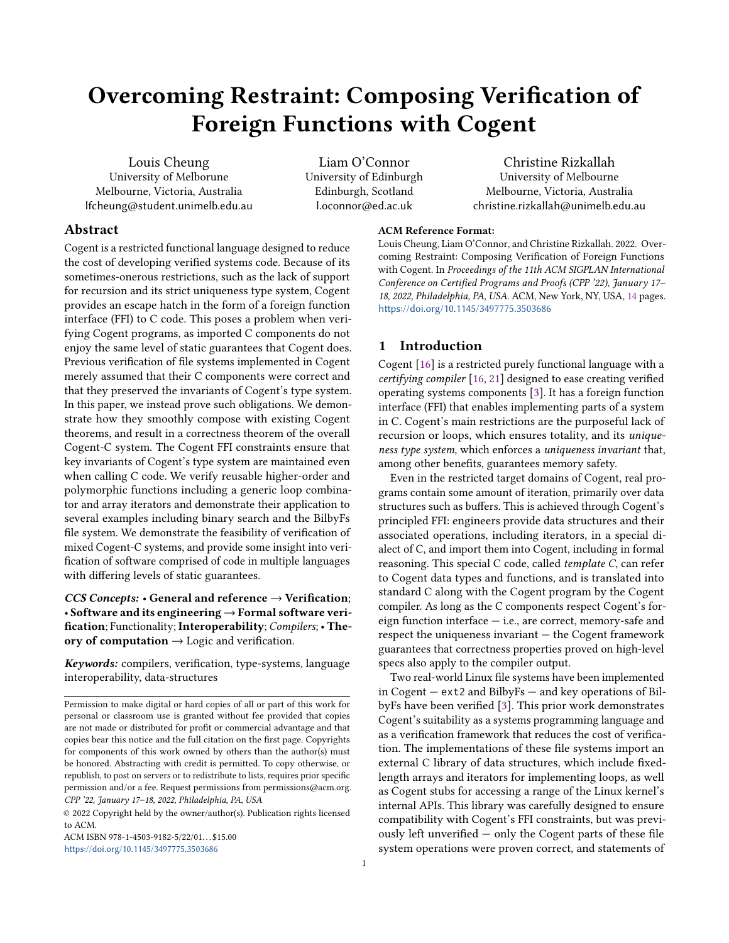# Overcoming Restraint: Composing Verification of Foreign Functions with Cogent

Louis Cheung University of Melborune Melbourne, Victoria, Australia lfcheung@student.unimelb.edu.au

Liam O'Connor University of Edinburgh Edinburgh, Scotland l.oconnor@ed.ac.uk

Christine Rizkallah University of Melbourne Melbourne, Victoria, Australia christine.rizkallah@unimelb.edu.au

# Abstract

Cogent is a restricted functional language designed to reduce the cost of developing verified systems code. Because of its sometimes-onerous restrictions, such as the lack of support for recursion and its strict uniqueness type system, Cogent provides an escape hatch in the form of a foreign function interface (FFI) to C code. This poses a problem when verifying Cogent programs, as imported C components do not enjoy the same level of static guarantees that Cogent does. Previous verification of file systems implemented in Cogent merely assumed that their C components were correct and that they preserved the invariants of Cogent's type system. In this paper, we instead prove such obligations. We demonstrate how they smoothly compose with existing Cogent theorems, and result in a correctness theorem of the overall Cogent-C system. The Cogent FFI constraints ensure that key invariants of Cogent's type system are maintained even when calling C code. We verify reusable higher-order and polymorphic functions including a generic loop combinator and array iterators and demonstrate their application to several examples including binary search and the BilbyFs file system. We demonstrate the feasibility of verification of mixed Cogent-C systems, and provide some insight into verification of software comprised of code in multiple languages with differing levels of static guarantees.

CCS Concepts: • General and reference  $\rightarrow$  Verification; • Software and its engineering  $\rightarrow$  Formal software verification; Functionality; Interoperability; Compilers; · Theory of computation  $\rightarrow$  Logic and verification.

Keywords: compilers, verification, type-systems, language interoperability, data-structures

ACM ISBN 978-1-4503-9182-5/22/01...\$15.00 <https://doi.org/10.1145/3497775.3503686>

#### ACM Reference Format:

Louis Cheung, Liam O'Connor, and Christine Rizkallah. 2022. Overcoming Restraint: Composing Verification of Foreign Functions with Cogent. In Proceedings of the 11th ACM SIGPLAN International Conference on Certified Programs and Proofs (CPP '22), January 17– 18, 2022, Philadelphia, PA, USA. ACM, New York, NY, USA, [14](#page-13-0) pages. <https://doi.org/10.1145/3497775.3503686>

# 1 Introduction

Cogent [\[16\]](#page-13-1) is a restricted purely functional language with a certifying compiler [\[16,](#page-13-1) [21\]](#page-13-2) designed to ease creating verified operating systems components [\[3\]](#page-13-3). It has a foreign function interface (FFI) that enables implementing parts of a system in C. Cogent's main restrictions are the purposeful lack of recursion or loops, which ensures totality, and its uniqueness type system, which enforces a uniqueness invariant that, among other benefits, guarantees memory safety.

Even in the restricted target domains of Cogent, real programs contain some amount of iteration, primarily over data structures such as buffers. This is achieved through Cogent's principled FFI: engineers provide data structures and their associated operations, including iterators, in a special dialect of C, and import them into Cogent, including in formal reasoning. This special C code, called template C, can refer to Cogent data types and functions, and is translated into standard C along with the Cogent program by the Cogent compiler. As long as the C components respect Cogent's foreign function interface — i.e., are correct, memory-safe and respect the uniqueness invariant — the Cogent framework guarantees that correctness properties proved on high-level specs also apply to the compiler output.

Two real-world Linux file systems have been implemented in Cogent — ext2 and BilbyFs — and key operations of BilbyFs have been verified [\[3\]](#page-13-3). This prior work demonstrates Cogent's suitability as a systems programming language and as a verification framework that reduces the cost of verification. The implementations of these file systems import an external C library of data structures, which include fixedlength arrays and iterators for implementing loops, as well as Cogent stubs for accessing a range of the Linux kernel's internal APIs. This library was carefully designed to ensure compatibility with Cogent's FFI constraints, but was previously left unverified — only the Cogent parts of these file system operations were proven correct, and statements of

Permission to make digital or hard copies of all or part of this work for personal or classroom use is granted without fee provided that copies are not made or distributed for profit or commercial advantage and that copies bear this notice and the full citation on the first page. Copyrights for components of this work owned by others than the author(s) must be honored. Abstracting with credit is permitted. To copy otherwise, or republish, to post on servers or to redistribute to lists, requires prior specific permission and/or a fee. Request permissions from permissions@acm.org. CPP '22, January 17–18, 2022, Philadelphia, PA, USA

<sup>©</sup> 2022 Copyright held by the owner/author(s). Publication rights licensed to ACM.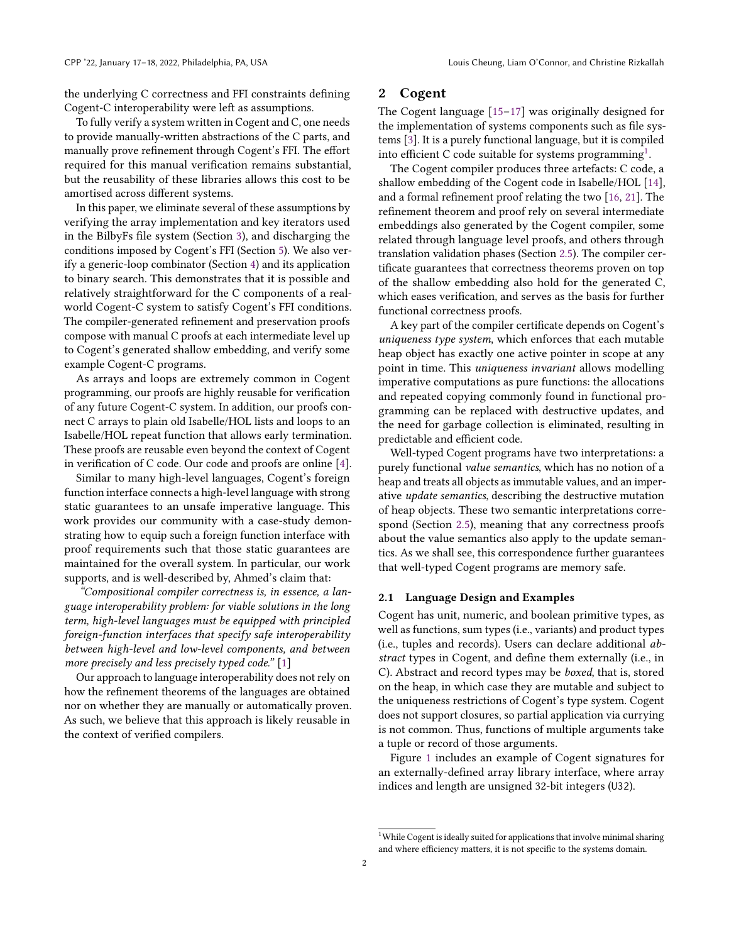the underlying C correctness and FFI constraints defining Cogent-C interoperability were left as assumptions.

To fully verify a system written in Cogent and C, one needs to provide manually-written abstractions of the C parts, and manually prove refinement through Cogent's FFI. The effort required for this manual verification remains substantial, but the reusability of these libraries allows this cost to be amortised across different systems.

In this paper, we eliminate several of these assumptions by verifying the array implementation and key iterators used in the BilbyFs file system (Section [3\)](#page-6-0), and discharging the conditions imposed by Cogent's FFI (Section [5\)](#page-10-0). We also verify a generic-loop combinator (Section [4\)](#page-10-1) and its application to binary search. This demonstrates that it is possible and relatively straightforward for the C components of a realworld Cogent-C system to satisfy Cogent's FFI conditions. The compiler-generated refinement and preservation proofs compose with manual C proofs at each intermediate level up to Cogent's generated shallow embedding, and verify some example Cogent-C programs.

As arrays and loops are extremely common in Cogent programming, our proofs are highly reusable for verification of any future Cogent-C system. In addition, our proofs connect C arrays to plain old Isabelle/HOL lists and loops to an Isabelle/HOL repeat function that allows early termination. These proofs are reusable even beyond the context of Cogent in verification of C code. Our code and proofs are online [\[4\]](#page-13-4).

Similar to many high-level languages, Cogent's foreign function interface connects a high-level language with strong static guarantees to an unsafe imperative language. This work provides our community with a case-study demonstrating how to equip such a foreign function interface with proof requirements such that those static guarantees are maintained for the overall system. In particular, our work supports, and is well-described by, Ahmed's claim that:

"Compositional compiler correctness is, in essence, a language interoperability problem: for viable solutions in the long term, high-level languages must be equipped with principled foreign-function interfaces that specify safe interoperability between high-level and low-level components, and between more precisely and less precisely typed code."  $[1]$ 

Our approach to language interoperability does not rely on how the refinement theorems of the languages are obtained nor on whether they are manually or automatically proven. As such, we believe that this approach is likely reusable in the context of verified compilers.

#### 2 Cogent

The Cogent language [\[15](#page-13-5)[–17\]](#page-13-6) was originally designed for the implementation of systems components such as file systems [\[3\]](#page-13-3). It is a purely functional language, but it is compiled into efficient C code suitable for systems programming $^1$  $^1$ .

The Cogent compiler produces three artefacts: C code, a shallow embedding of the Cogent code in Isabelle/HOL [\[14\]](#page-13-7), and a formal refinement proof relating the two [\[16,](#page-13-1) [21\]](#page-13-2). The refinement theorem and proof rely on several intermediate embeddings also generated by the Cogent compiler, some related through language level proofs, and others through translation validation phases (Section [2.5\)](#page-4-0). The compiler certificate guarantees that correctness theorems proven on top of the shallow embedding also hold for the generated C, which eases verification, and serves as the basis for further functional correctness proofs.

A key part of the compiler certificate depends on Cogent's uniqueness type system, which enforces that each mutable heap object has exactly one active pointer in scope at any point in time. This uniqueness invariant allows modelling imperative computations as pure functions: the allocations and repeated copying commonly found in functional programming can be replaced with destructive updates, and the need for garbage collection is eliminated, resulting in predictable and efficient code.

Well-typed Cogent programs have two interpretations: a purely functional value semantics, which has no notion of a heap and treats all objects as immutable values, and an imperative update semantics, describing the destructive mutation of heap objects. These two semantic interpretations correspond (Section [2.5\)](#page-4-0), meaning that any correctness proofs about the value semantics also apply to the update semantics. As we shall see, this correspondence further guarantees that well-typed Cogent programs are memory safe.

#### 2.1 Language Design and Examples

Cogent has unit, numeric, and boolean primitive types, as well as functions, sum types (i.e., variants) and product types (i.e., tuples and records). Users can declare additional abstract types in Cogent, and define them externally (i.e., in C). Abstract and record types may be boxed, that is, stored on the heap, in which case they are mutable and subject to the uniqueness restrictions of Cogent's type system. Cogent does not support closures, so partial application via currying is not common. Thus, functions of multiple arguments take a tuple or record of those arguments.

Figure [1](#page-2-0) includes an example of Cogent signatures for an externally-defined array library interface, where array indices and length are unsigned 32-bit integers (U32).

<span id="page-1-0"></span> $^{1}$ While Cogent is ideally suited for applications that involve minimal sharing and where efficiency matters, it is not specific to the systems domain.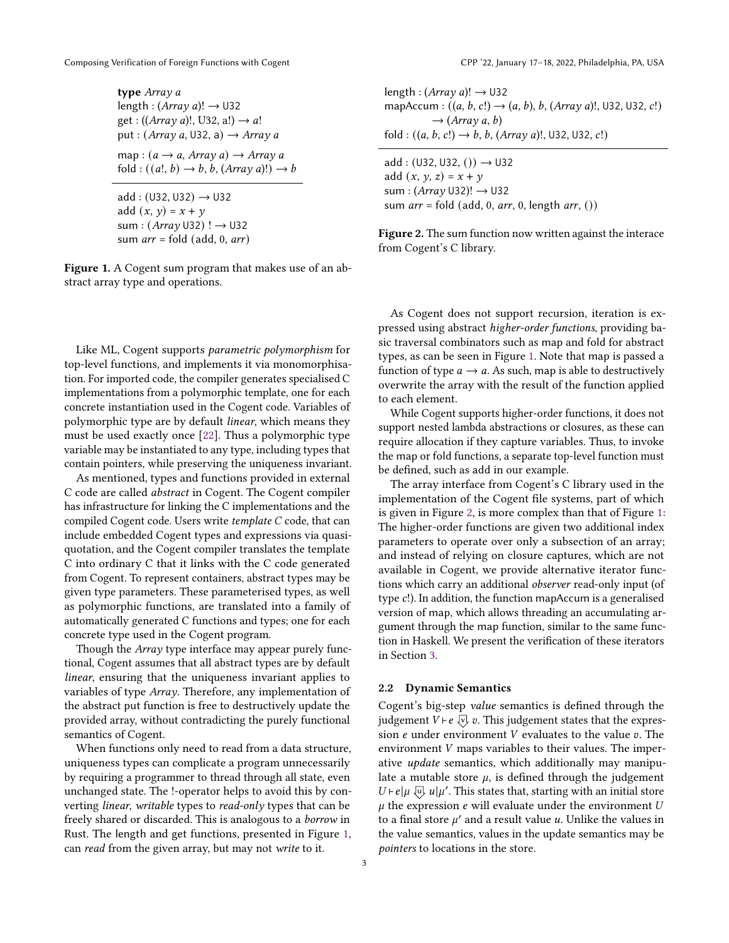<span id="page-2-0"></span>type Array a length :  $(Array a)! \rightarrow \cup 32$ get :  $((Array a)!, U32, a!) \rightarrow a!$ put :  $(Array \, a, \, \text{U32}, \, a) \rightarrow Array \, a$  $map : (a \rightarrow a, Array a) \rightarrow Array a$ fold :  $((a!, b) \rightarrow b, b, (Array a)!) \rightarrow b$ add :  $(U32, U32) \rightarrow U32$ add  $(x, y) = x + y$ sum :  $(Array U32) ! \rightarrow U32$ 

Figure 1. A Cogent sum program that makes use of an abstract array type and operations.

sum  $arr =$  fold (add, 0,  $arr$ )

Like ML, Cogent supports parametric polymorphism for top-level functions, and implements it via monomorphisation. For imported code, the compiler generates specialised C implementations from a polymorphic template, one for each concrete instantiation used in the Cogent code. Variables of polymorphic type are by default linear, which means they must be used exactly once [\[22\]](#page-13-8). Thus a polymorphic type variable may be instantiated to any type, including types that contain pointers, while preserving the uniqueness invariant.

As mentioned, types and functions provided in external C code are called abstract in Cogent. The Cogent compiler has infrastructure for linking the C implementations and the compiled Cogent code. Users write template C code, that can include embedded Cogent types and expressions via quasiquotation, and the Cogent compiler translates the template C into ordinary C that it links with the C code generated from Cogent. To represent containers, abstract types may be given type parameters. These parameterised types, as well as polymorphic functions, are translated into a family of automatically generated C functions and types; one for each concrete type used in the Cogent program.

Though the Array type interface may appear purely functional, Cogent assumes that all abstract types are by default linear, ensuring that the uniqueness invariant applies to variables of type Array. Therefore, any implementation of the abstract put function is free to destructively update the provided array, without contradicting the purely functional semantics of Cogent.

When functions only need to read from a data structure, uniqueness types can complicate a program unnecessarily by requiring a programmer to thread through all state, even unchanged state. The !-operator helps to avoid this by converting linear, writable types to read-only types that can be freely shared or discarded. This is analogous to a borrow in Rust. The length and get functions, presented in Figure [1,](#page-2-0) can read from the given array, but may not write to it.

<span id="page-2-1"></span>

| length : $(Array a)! \rightarrow \cup 32$                                 |
|---------------------------------------------------------------------------|
| mapAccum : $((a, b, c!) \rightarrow (a, b), b, (Array a)!, U32, U32, c!)$ |
| $\rightarrow (Array a, b)$                                                |
| fold : $((a, b, c!) \rightarrow b, b, (Array a)!, U32, U32, c!)$          |

add :  $(U32, U32, ()$ )  $\rightarrow$  U32 add  $(x, y, z) = x + y$ sum :  $(Array U32)! \rightarrow U32$ sum  $arr =$  fold (add, 0,  $arr$ , 0, length  $arr$ , ())

Figure 2. The sum function now written against the interace from Cogent's C library.

As Cogent does not support recursion, iteration is expressed using abstract higher-order functions, providing basic traversal combinators such as map and fold for abstract types, as can be seen in Figure [1.](#page-2-0) Note that map is passed a function of type  $a \rightarrow a$ . As such, map is able to destructively overwrite the array with the result of the function applied to each element.

While Cogent supports higher-order functions, it does not support nested lambda abstractions or closures, as these can require allocation if they capture variables. Thus, to invoke the map or fold functions, a separate top-level function must be defined, such as add in our example.

The array interface from Cogent's C library used in the implementation of the Cogent file systems, part of which is given in Figure [2,](#page-2-1) is more complex than that of Figure [1:](#page-2-0) The higher-order functions are given two additional index parameters to operate over only a subsection of an array; and instead of relying on closure captures, which are not available in Cogent, we provide alternative iterator functions which carry an additional observer read-only input (of type c!). In addition, the function mapAccum is a generalised version of map, which allows threading an accumulating argument through the map function, similar to the same function in Haskell. We present the verification of these iterators in Section [3.](#page-6-0)

# 2.2 Dynamic Semantics

Cogent's big-step value semantics is defined through the judgement  $V \vdash e \bigtriangledown v$ . This judgement states that the expression  $e$  under environment  $V$  evaluates to the value  $v$ . The environment  $V$  maps variables to their values. The imperative update semantics, which additionally may manipulate a mutable store  $\mu$ , is defined through the judgement  $U \vdash e | \mu \overline{\psi} u | \mu'$ . This states that, starting with an initial store  $\mu$  the expression  $e$  will evaluate under the environment  $U$ to a final store  $\mu'$  and a result value  $u$ . Unlike the values in the value semantics, values in the update semantics may be pointers to locations in the store.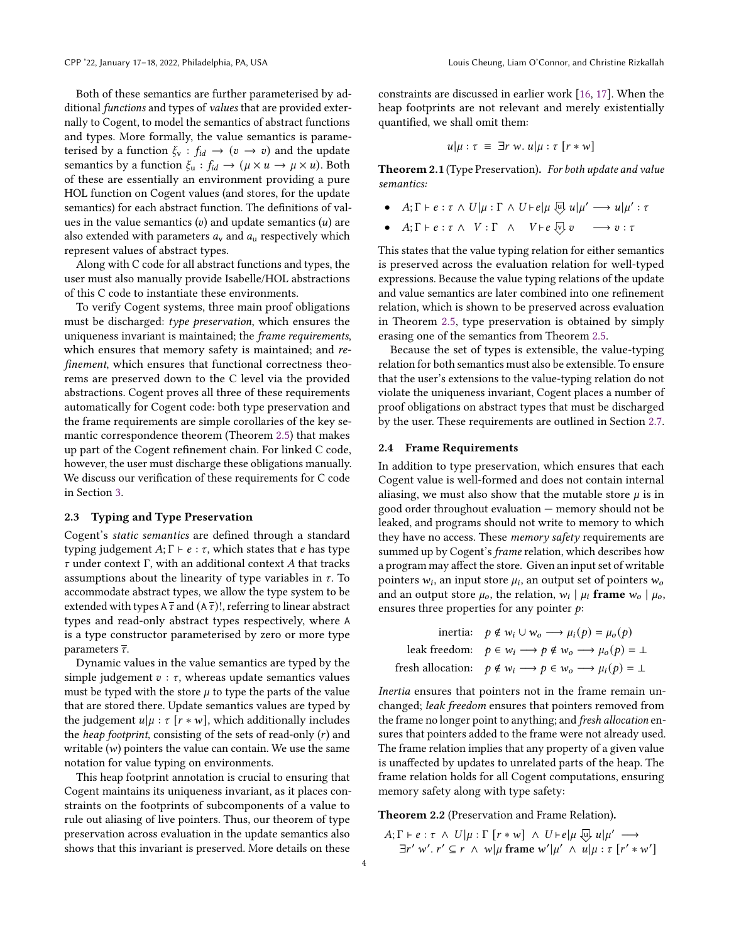Both of these semantics are further parameterised by additional functions and types of values that are provided externally to Cogent, to model the semantics of abstract functions and types. More formally, the value semantics is parameterised by a function  $\xi_v : f_{id} \to (v \to v)$  and the update semantics by a function  $\xi_u : f_{id} \to (\mu \times u \to \mu \times u)$ . Both of these are essentially an environment providing a pure HOL function on Cogent values (and stores, for the update semantics) for each abstract function. The definitions of values in the value semantics  $(v)$  and update semantics  $(u)$  are also extended with parameters  $a_v$  and  $a_u$  respectively which represent values of abstract types.

Along with C code for all abstract functions and types, the user must also manually provide Isabelle/HOL abstractions of this C code to instantiate these environments.

To verify Cogent systems, three main proof obligations must be discharged: type preservation, which ensures the uniqueness invariant is maintained; the frame requirements, which ensures that memory safety is maintained; and refinement, which ensures that functional correctness theorems are preserved down to the C level via the provided abstractions. Cogent proves all three of these requirements automatically for Cogent code: both type preservation and the frame requirements are simple corollaries of the key semantic correspondence theorem (Theorem [2.5\)](#page-4-1) that makes up part of the Cogent refinement chain. For linked C code, however, the user must discharge these obligations manually. We discuss our verification of these requirements for C code in Section [3.](#page-6-0)

## 2.3 Typing and Type Preservation

Cogent's static semantics are defined through a standard typing judgement  $A; \Gamma \vdash e : \tau$ , which states that *e* has type τ under context Γ, with an additional context  $A$  that tracks assumptions about the linearity of type variables in  $\tau$ . To accommodate abstract types, we allow the type system to be extended with types A  $\bar{\tau}$  and  $(A \bar{\tau})$ !, referring to linear abstract types and read-only abstract types respectively, where A is a type constructor parameterised by zero or more type parameters  $\overline{\tau}$ .

Dynamic values in the value semantics are typed by the simple judgement  $v : \tau$ , whereas update semantics values must be typed with the store  $\mu$  to type the parts of the value that are stored there. Update semantics values are typed by the judgement  $u | \mu : \tau$  [ $r * w$ ], which additionally includes the *heap footprint*, consisting of the sets of read-only  $(r)$  and writable  $(w)$  pointers the value can contain. We use the same notation for value typing on environments.

This heap footprint annotation is crucial to ensuring that Cogent maintains its uniqueness invariant, as it places constraints on the footprints of subcomponents of a value to rule out aliasing of live pointers. Thus, our theorem of type preservation across evaluation in the update semantics also shows that this invariant is preserved. More details on these

constraints are discussed in earlier work [\[16,](#page-13-1) [17\]](#page-13-6). When the heap footprints are not relevant and merely existentially quantified, we shall omit them:

$$
u|\mu : \tau \equiv \exists r \ w. \ u|\mu : \tau [r * w]
$$

<span id="page-3-0"></span>Theorem 2.1 (Type Preservation). For both update and value semantics:

- $A; \Gamma \vdash e : \tau \wedge U | \mu : \Gamma \wedge U \vdash e | \mu \downarrow \mu \downarrow \mu' \longrightarrow u | \mu' : \tau$
- $A; \Gamma \vdash e : \tau \wedge V : \Gamma \wedge V \vdash e \overline{\vee} \vee v \longrightarrow v : \tau$

This states that the value typing relation for either semantics is preserved across the evaluation relation for well-typed expressions. Because the value typing relations of the update and value semantics are later combined into one refinement relation, which is shown to be preserved across evaluation in Theorem [2.5,](#page-4-1) type preservation is obtained by simply erasing one of the semantics from Theorem [2.5.](#page-4-1)

Because the set of types is extensible, the value-typing relation for both semantics must also be extensible. To ensure that the user's extensions to the value-typing relation do not violate the uniqueness invariant, Cogent places a number of proof obligations on abstract types that must be discharged by the user. These requirements are outlined in Section [2.7.](#page-5-0)

#### <span id="page-3-1"></span>2.4 Frame Requirements

In addition to type preservation, which ensures that each Cogent value is well-formed and does not contain internal aliasing, we must also show that the mutable store  $\mu$  is in good order throughout evaluation — memory should not be leaked, and programs should not write to memory to which they have no access. These memory safety requirements are summed up by Cogent's frame relation, which describes how a program may affect the store. Given an input set of writable pointers  $w_i$ , an input store  $\mu_i$ , an output set of pointers  $w_o$ and an output store  $\mu_o$ , the relation,  $w_i \mid \mu_i$  frame  $w_o \mid \mu_o$ , ensures three properties for any pointer  $p$ .

| inertia: $p \notin w_i \cup w_o \longrightarrow \mu_i(p) = \mu_o(p)$                       |
|--------------------------------------------------------------------------------------------|
| leak freedom: $p \in w_i \longrightarrow p \notin w_o \longrightarrow \mu_o(p) = \bot$     |
| fresh allocation: $p \notin w_i \longrightarrow p \in w_o \longrightarrow \mu_i(p) = \bot$ |

Inertia ensures that pointers not in the frame remain unchanged; leak freedom ensures that pointers removed from the frame no longer point to anything; and fresh allocation ensures that pointers added to the frame were not already used. The frame relation implies that any property of a given value is unaffected by updates to unrelated parts of the heap. The frame relation holds for all Cogent computations, ensuring memory safety along with type safety:

<span id="page-3-2"></span>Theorem 2.2 (Preservation and Frame Relation).

$$
A; \Gamma \vdash e : \tau \wedge U | \mu : \Gamma [r * w] \wedge U \vdash e | \mu \downarrow \sqcup \mu' \longrightarrow
$$
  

$$
\exists r' w' . r' \subseteq r \wedge w | \mu \text{ frame } w' | \mu' \wedge u | \mu : \tau [r' * w']
$$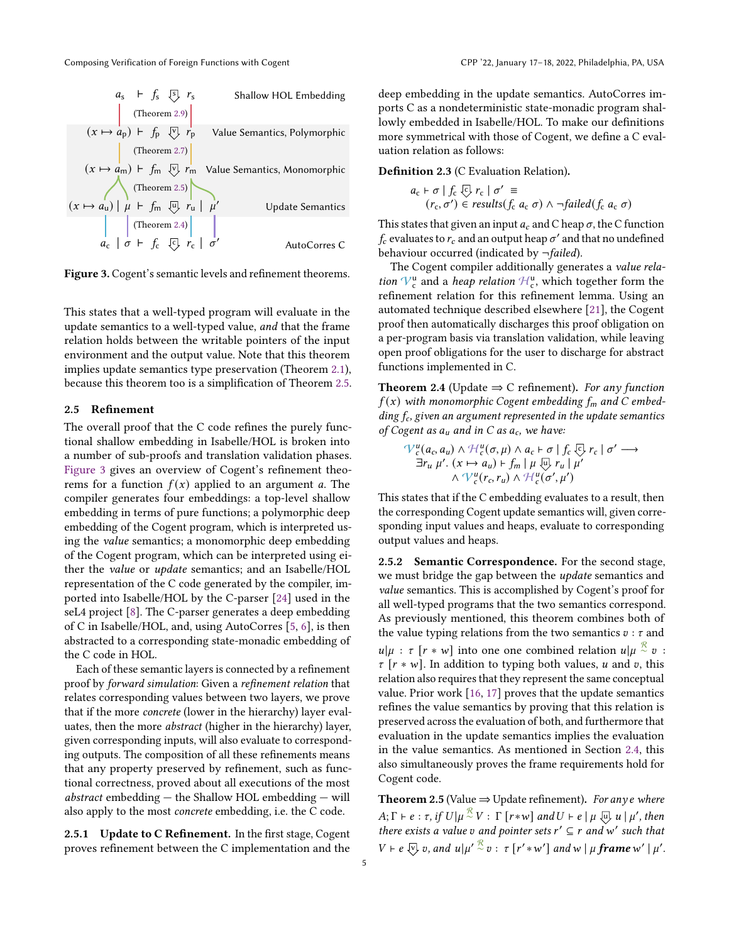<span id="page-4-3"></span>

Figure 3. Cogent's semantic levels and refinement theorems.

This states that a well-typed program will evaluate in the update semantics to a well-typed value, and that the frame relation holds between the writable pointers of the input environment and the output value. Note that this theorem implies update semantics type preservation (Theorem [2.1\)](#page-3-0), because this theorem too is a simplification of Theorem [2.5.](#page-4-1)

#### <span id="page-4-0"></span>2.5 Refinement

The overall proof that the C code refines the purely functional shallow embedding in Isabelle/HOL is broken into a number of sub-proofs and translation validation phases. [Figure 3](#page-4-3) gives an overview of Cogent's refinement theorems for a function  $f(x)$  applied to an argument a. The compiler generates four embeddings: a top-level shallow embedding in terms of pure functions; a polymorphic deep embedding of the Cogent program, which is interpreted using the value semantics; a monomorphic deep embedding of the Cogent program, which can be interpreted using either the value or update semantics; and an Isabelle/HOL representation of the C code generated by the compiler, imported into Isabelle/HOL by the C-parser [\[24\]](#page-13-9) used in the seL4 project [\[8\]](#page-13-10). The C-parser generates a deep embedding of C in Isabelle/HOL, and, using AutoCorres [\[5,](#page-13-11) [6\]](#page-13-12), is then abstracted to a corresponding state-monadic embedding of the C code in HOL.

Each of these semantic layers is connected by a refinement proof by forward simulation: Given a refinement relation that relates corresponding values between two layers, we prove that if the more concrete (lower in the hierarchy) layer evaluates, then the more abstract (higher in the hierarchy) layer, given corresponding inputs, will also evaluate to corresponding outputs. The composition of all these refinements means that any property preserved by refinement, such as functional correctness, proved about all executions of the most abstract embedding — the Shallow HOL embedding — will also apply to the most concrete embedding, i.e. the C code.

2.5.1 Update to C Refinement. In the first stage, Cogent proves refinement between the C implementation and the

deep embedding in the update semantics. AutoCorres imports C as a nondeterministic state-monadic program shallowly embedded in Isabelle/HOL. To make our definitions more symmetrical with those of Cogent, we define a C evaluation relation as follows:

Definition 2.3 (C Evaluation Relation).

$$
a_{c} \vdash \sigma \mid f_{c} \subseteq r_{c} \mid \sigma' \equiv
$$
  
(r\_{c}, \sigma') \in results(f\_{c} a\_{c} \sigma) \land \neg failed(f\_{c} a\_{c} \sigma)

This states that given an input  $a_c$  and C heap  $\sigma$ , the C function  $f_c$  evaluates to  $r_c$  and an output heap  $\sigma'$  and that no undefined behaviour occurred (indicated by  $\neg$  failed).

The Cogent compiler additionally generates a value relation  $\mathcal{V}_c^{\mathsf{u}}$  and a *heap relation*  $\mathcal{H}_c^{\mathsf{u}}$ , which together form the refinement relation for this refinement lemma. Using an automated technique described elsewhere [\[21\]](#page-13-2), the Cogent proof then automatically discharges this proof obligation on a per-program basis via translation validation, while leaving open proof obligations for the user to discharge for abstract functions implemented in C.

<span id="page-4-2"></span>**Theorem 2.4** (Update  $\Rightarrow$  C refinement). For any function  $f(x)$  with monomorphic Cogent embedding  $f_m$  and C embedding  $f_c$ , given an argument represented in the update semantics of Cogent as  $a_u$  and in C as  $a_c$ , we have:

$$
\mathcal{V}_c^u(a_c, a_u) \wedge \mathcal{H}_c^u(\sigma, \mu) \wedge a_c \vdash \sigma \mid f_c \in \r c \mid \sigma' \longrightarrow \exists r_u \mu'. (x \mapsto a_u) \vdash f_m \mid \mu \overline{\omega} \mid r_u \mid \mu' \wedge \mathcal{V}_c^u(r_c, r_u) \wedge \mathcal{H}_c^u(\sigma', \mu')
$$

This states that if the C embedding evaluates to a result, then the corresponding Cogent update semantics will, given corresponding input values and heaps, evaluate to corresponding output values and heaps.

2.5.2 Semantic Correspondence. For the second stage, we must bridge the gap between the *update* semantics and value semantics. This is accomplished by Cogent's proof for all well-typed programs that the two semantics correspond. As previously mentioned, this theorem combines both of the value typing relations from the two semantics  $v : \tau$  and  $u|\mu : \tau$  [ $r * w$ ] into one one combined relation  $u|\mu \stackrel{\mathcal{R}}{\sim} v$  :  $\tau$  [ $r * w$ ]. In addition to typing both values,  $u$  and  $v$ , this relation also requires that they represent the same conceptual value. Prior work [\[16,](#page-13-1) [17\]](#page-13-6) proves that the update semantics refines the value semantics by proving that this relation is preserved across the evaluation of both, and furthermore that evaluation in the update semantics implies the evaluation in the value semantics. As mentioned in Section [2.4,](#page-3-1) this also simultaneously proves the frame requirements hold for Cogent code.

<span id="page-4-1"></span>Theorem 2.5 (Value  $\Rightarrow$  Update refinement). For any e where  $A; Γ ⊢ e : τ, if U | μ \stackrel{{\cal R}}{\sim} V : Γ [r * w] \; and \; U ⊢ e ∣ μ \; ∀ y \; u ∣ μ', then$ there exists a value v and pointer sets  $r' \subseteq r$  and w' such that  $V \vdash e \bigvee v$ , and  $u|\mu' \stackrel{\mathcal{R}}{\sim} v : \tau[r'*w']$  and  $w | \mu$  frame  $w' | \mu'$ .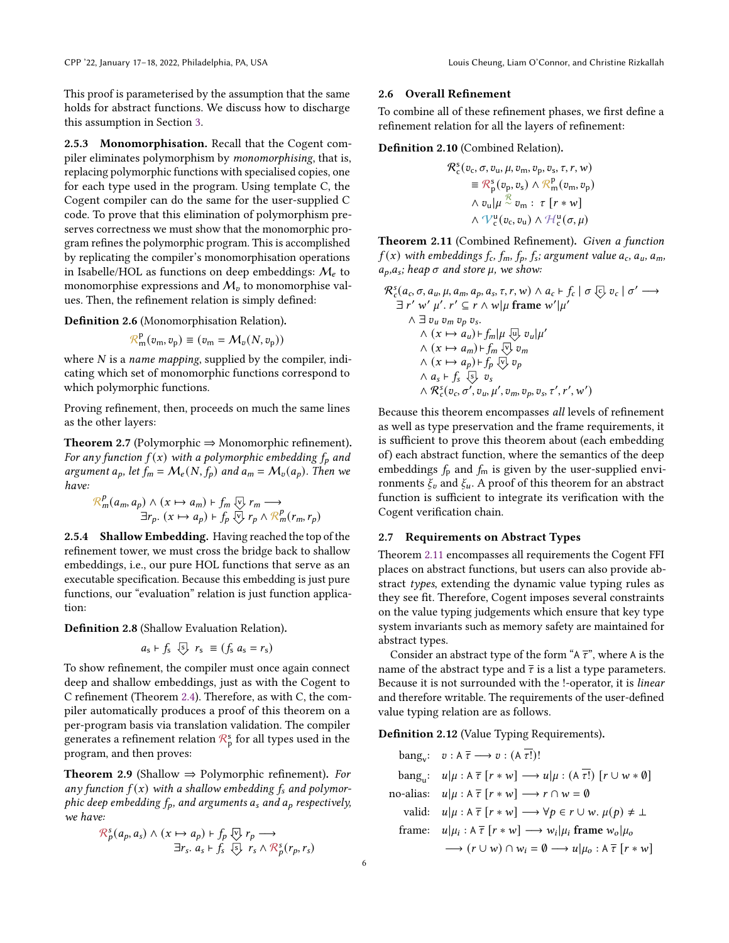This proof is parameterised by the assumption that the same holds for abstract functions. We discuss how to discharge this assumption in Section [3.](#page-6-0)

2.5.3 Monomorphisation. Recall that the Cogent compiler eliminates polymorphism by monomorphising, that is, replacing polymorphic functions with specialised copies, one for each type used in the program. Using template C, the Cogent compiler can do the same for the user-supplied C code. To prove that this elimination of polymorphism preserves correctness we must show that the monomorphic program refines the polymorphic program. This is accomplished by replicating the compiler's monomorphisation operations in Isabelle/HOL as functions on deep embeddings:  $M_e$  to monomorphise expressions and  $\mathcal{M}_v$  to monomorphise values. Then, the refinement relation is simply defined:

Definition 2.6 (Monomorphisation Relation).

$$
\mathcal{R}_{\mathsf{m}}^{\mathsf{p}}(v_{\mathsf{m}},v_{\mathsf{p}})\equiv(v_{\mathsf{m}}=\mathcal{M}_{v}(N,v_{\mathsf{p}}))
$$

where  $N$  is a name mapping, supplied by the compiler, indicating which set of monomorphic functions correspond to which polymorphic functions.

Proving refinement, then, proceeds on much the same lines as the other layers:

<span id="page-5-2"></span>**Theorem 2.7** (Polymorphic  $\Rightarrow$  Monomorphic refinement). For any function  $f(x)$  with a polymorphic embedding  $f_p$  and argument  $a_p$ , let  $f_m = \mathcal{M}_e(N, f_p)$  and  $a_m = \mathcal{M}_v(a_p)$ . Then we have:

$$
\frac{\mathcal{R}_m^p(a_m, a_p) \wedge (x \mapsto a_m) \vdash f_m \bigtriangledown r_m \longrightarrow}{\exists r_p. (x \mapsto a_p) \vdash f_p \bigtriangledown r_p \wedge \mathcal{R}_m^p(r_m, r_p)}
$$

2.5.4 Shallow Embedding. Having reached the top of the refinement tower, we must cross the bridge back to shallow embeddings, i.e., our pure HOL functions that serve as an executable specification. Because this embedding is just pure functions, our "evaluation" relation is just function application:

Definition 2.8 (Shallow Evaluation Relation).

$$
a_{s} + f_{s} \quad \boxed{s} \quad r_{s} \equiv (f_{s} \ a_{s} = r_{s})
$$

To show refinement, the compiler must once again connect deep and shallow embeddings, just as with the Cogent to C refinement (Theorem [2.4\)](#page-4-2). Therefore, as with C, the compiler automatically produces a proof of this theorem on a per-program basis via translation validation. The compiler generates a refinement relation  $\mathcal{R}^s_\texttt{p}$  for all types used in the program, and then proves:

<span id="page-5-1"></span>**Theorem 2.9** (Shallow  $\Rightarrow$  Polymorphic refinement). For any function  $f(x)$  with a shallow embedding  $f_s$  and polymorphic deep embedding  $f_p$ , and arguments  $a_s$  and  $a_p$  respectively, we have:

$$
\mathcal{R}_p^s(a_p, a_s) \land (x \mapsto a_p) \vdash f_p \bigotimes r_p \longrightarrow
$$
  

$$
\exists r_s. \ a_s \vdash f_s \ \langle s \rangle \ r_s \land \mathcal{R}_p^s(r_p, r_s)
$$

#### 2.6 Overall Refinement

To combine all of these refinement phases, we first define a refinement relation for all the layers of refinement:

Definition 2.10 (Combined Relation).

$$
\mathcal{R}_{c}^{s}(v_{c}, \sigma, v_{u}, \mu, v_{m}, v_{p}, v_{s}, \tau, r, w)
$$
\n
$$
\equiv \mathcal{R}_{p}^{s}(v_{p}, v_{s}) \wedge \mathcal{R}_{m}^{p}(v_{m}, v_{p})
$$
\n
$$
\wedge v_{u}|\mu \sim \nu_{m} : \tau [r * w]
$$
\n
$$
\wedge \mathcal{V}_{c}^{u}(v_{c}, v_{u}) \wedge \mathcal{H}_{c}^{u}(\sigma, \mu)
$$

<span id="page-5-3"></span>Theorem 2.11 (Combined Refinement). Given a function  $f(x)$  with embeddings  $f_c$ ,  $f_m$ ,  $f_p$ ,  $f_s$ ; argument value  $a_c$ ,  $a_u$ ,  $a_m$ ,  $a_p, a_s$ ; heap  $\sigma$  and store  $\mu$ , we show:

$$
\mathcal{R}_{c}^{s}(a_{c}, \sigma, a_{u}, \mu, a_{m}, a_{p}, a_{s}, \tau, r, w) \wedge a_{c} \vdash f_{c} \mid \sigma \oslash v_{c} \mid \sigma' \longrightarrow
$$
\n
$$
\exists r' w' \mu'. r' \subseteq r \wedge w | \mu \text{ frame } w' | \mu'
$$
\n
$$
\wedge \exists v_{u} v_{m} v_{p} v_{s}.
$$
\n
$$
\wedge (x \mapsto a_{u}) \vdash f_{m} | \mu \oslash v_{u} | \mu'
$$
\n
$$
\wedge (x \mapsto a_{m}) \vdash f_{m} \oslash v_{m}
$$
\n
$$
\wedge (x \mapsto a_{p}) \vdash f_{p} \oslash v_{p}
$$
\n
$$
\wedge a_{s} \vdash f_{s} \sigsqcup v_{s}
$$
\n
$$
\wedge \mathcal{R}_{c}^{s}(v_{c}, \sigma', v_{u}, \mu', v_{m}, v_{p}, v_{s}, \tau', r', w')
$$

Because this theorem encompasses all levels of refinement as well as type preservation and the frame requirements, it is sufficient to prove this theorem about (each embedding of) each abstract function, where the semantics of the deep embeddings  $f_p$  and  $f_m$  is given by the user-supplied environments  $\xi_v$  and  $\xi_u$ . A proof of this theorem for an abstract function is sufficient to integrate its verification with the Cogent verification chain.

## <span id="page-5-0"></span>2.7 Requirements on Abstract Types

Theorem [2.11](#page-5-3) encompasses all requirements the Cogent FFI places on abstract functions, but users can also provide abstract types, extending the dynamic value typing rules as they see fit. Therefore, Cogent imposes several constraints on the value typing judgements which ensure that key type system invariants such as memory safety are maintained for abstract types.

Consider an abstract type of the form "A  $\overline{\tau}$ ", where A is the name of the abstract type and  $\bar{\tau}$  is a list a type parameters. Because it is not surrounded with the !-operator, it is linear and therefore writable. The requirements of the user-defined value typing relation are as follows.

<span id="page-5-4"></span>Definition 2.12 (Value Typing Requirements).

bang<sub>v</sub>:  $v : A \overline{\tau} \longrightarrow v : (A \overline{\tau!})!$ bang<sub>u</sub>:  $u|\mu : A \overline{\tau} [r * w] \longrightarrow u|\mu : (A \overline{\tau}!) [r \cup w * \emptyset]$ no-alias:  $u|\mu : A \overline{\tau} [r * w] \longrightarrow r \cap w = \emptyset$ valid:  $u|\mu : A \overline{\tau} [r * w] \longrightarrow \forall p \in r \cup w$ .  $\mu(p) \neq \bot$ frame:  $u|\mu_i : A \overline{\tau} [r * w] \longrightarrow w_i |\mu_i$  frame  $w_o|\mu_o$  $\longrightarrow (r \cup w) \cap w_i = \emptyset \longrightarrow u | \mu_0 : A \overline{\tau} [r * w]$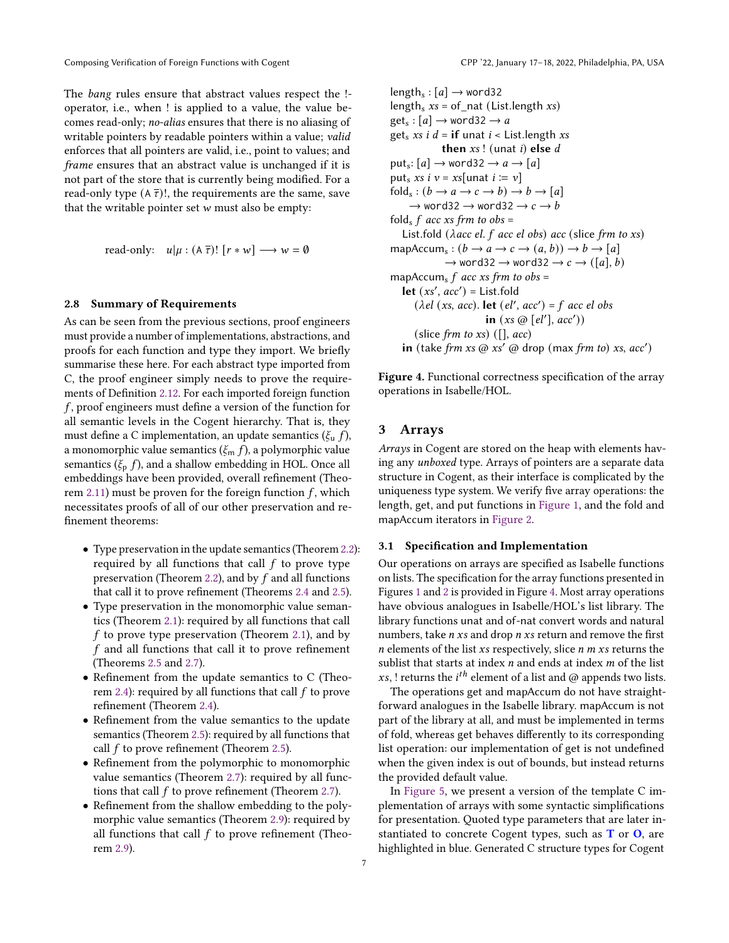The bang rules ensure that abstract values respect the ! operator, i.e., when ! is applied to a value, the value becomes read-only; no-alias ensures that there is no aliasing of writable pointers by readable pointers within a value; valid enforces that all pointers are valid, i.e., point to values; and frame ensures that an abstract value is unchanged if it is not part of the store that is currently being modified. For a read-only type  $(A \overline{\tau})!$ , the requirements are the same, save that the writable pointer set  $w$  must also be empty:

read-only:  $u|\mu : (A \overline{\tau})!$  [ $r * w$ ]  $\longrightarrow w = \emptyset$ 

#### 2.8 Summary of Requirements

As can be seen from the previous sections, proof engineers must provide a number of implementations, abstractions, and proofs for each function and type they import. We briefly summarise these here. For each abstract type imported from C, the proof engineer simply needs to prove the requirements of Definition [2.12.](#page-5-4) For each imported foreign function , proof engineers must define a version of the function for all semantic levels in the Cogent hierarchy. That is, they must define a C implementation, an update semantics  $(\xi_u f)$ , a monomorphic value semantics  $(\xi_m f)$ , a polymorphic value semantics ( $\xi_{\rm p}$  f), and a shallow embedding in HOL. Once all embeddings have been provided, overall refinement (Theo-rem [2.11\)](#page-5-3) must be proven for the foreign function  $f$ , which necessitates proofs of all of our other preservation and refinement theorems:

- Type preservation in the update semantics (Theorem [2.2\)](#page-3-2): required by all functions that call  $f$  to prove type preservation (Theorem [2.2\)](#page-3-2), and by  $f$  and all functions that call it to prove refinement (Theorems [2.4](#page-4-2) and [2.5\)](#page-4-1).
- Type preservation in the monomorphic value semantics (Theorem [2.1\)](#page-3-0): required by all functions that call  $f$  to prove type preservation (Theorem [2.1\)](#page-3-0), and by  $f$  and all functions that call it to prove refinement (Theorems [2.5](#page-4-1) and [2.7\)](#page-5-2).
- Refinement from the update semantics to C (Theo-rem [2.4\)](#page-4-2): required by all functions that call  $f$  to prove refinement (Theorem [2.4\)](#page-4-2).
- Refinement from the value semantics to the update semantics (Theorem [2.5\)](#page-4-1): required by all functions that call  $f$  to prove refinement (Theorem [2.5\)](#page-4-1).
- Refinement from the polymorphic to monomorphic value semantics (Theorem [2.7\)](#page-5-2): required by all functions that call  $f$  to prove refinement (Theorem [2.7\)](#page-5-2).
- Refinement from the shallow embedding to the polymorphic value semantics (Theorem [2.9\)](#page-5-1): required by all functions that call  $f$  to prove refinement (Theorem [2.9\)](#page-5-1).

```
length_s : [a] \rightarrow word32length<sub>s</sub> xs = of nat (List.length xs)
\text{get}_s : [a] \rightarrow \text{word32} \rightarrow aget, xs i d = if unat i < List. length xs
               then xs ! (unat i) else d\text{put}_s: [a] \rightarrow \text{word32} \rightarrow a \rightarrow [a]put<sub>s</sub> xs i v = xs [unat i v = v]
f \circ \text{Id}_s : (b \to a \to c \to b) \to b \to [a]\rightarrow word32 \rightarrow word32 \rightarrow c \rightarrow bfold<sub>s</sub> f acc xs frm to obs =
   List.fold (\lambdaacc el. f acc el obs) acc (slice frm to xs)
mapAccum_s: (b \rightarrow a \rightarrow c \rightarrow (a, b)) \rightarrow b \rightarrow [a]\rightarrow word32 \rightarrow word32 \rightarrow c \rightarrow ([a], b)mapAccums f acc xs frm to obs =
    let (xs', acc') = List.fold(\lambda el (xs, acc). let (el', acc') = f acc el obsin (xs \oslash [el'], acc'))(slice frm to xs) ([], acc)
    in (take frm xs \omega xs' \omega drop (max frm to) xs, acc')
```
Figure 4. Functional correctness specification of the array operations in Isabelle/HOL.

## <span id="page-6-0"></span>3 Arrays

Arrays in Cogent are stored on the heap with elements having any unboxed type. Arrays of pointers are a separate data structure in Cogent, as their interface is complicated by the uniqueness type system. We verify five array operations: the length, get, and put functions in [Figure 1,](#page-2-0) and the fold and mapAccum iterators in [Figure 2.](#page-2-1)

# 3.1 Specification and Implementation

Our operations on arrays are specified as Isabelle functions on lists. The specification for the array functions presented in Figures [1](#page-2-0) and [2](#page-2-1) is provided in Figure [4.](#page-6-1) Most array operations have obvious analogues in Isabelle/HOL's list library. The library functions unat and of-nat convert words and natural numbers, take  $n$  xs and drop  $n$  xs return and remove the first  $n$  elements of the list  $xs$  respectively, slice  $n$   $m$   $xs$  returns the sublist that starts at index  $n$  and ends at index  $m$  of the list xs, ! returns the  $i^{th}$  element of a list and @ appends two lists.

The operations get and mapAccum do not have straightforward analogues in the Isabelle library. mapAccum is not part of the library at all, and must be implemented in terms of fold, whereas get behaves differently to its corresponding list operation: our implementation of get is not undefined when the given index is out of bounds, but instead returns the provided default value.

In [Figure 5,](#page-7-0) we present a version of the template C implementation of arrays with some syntactic simplifications for presentation. Quoted type parameters that are later instantiated to concrete Cogent types, such as  $T$  or  $O$ , are highlighted in blue. Generated C structure types for Cogent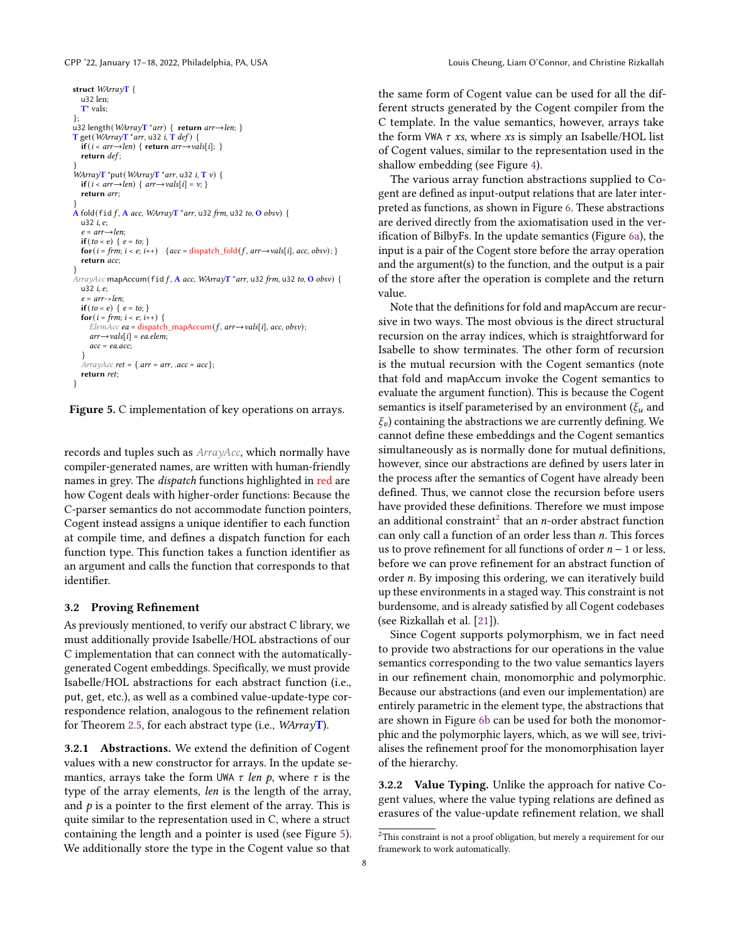```
struct WArrayT {
  u32 len;
  T* vals;
};
u32 length(WArrayT *arr) { return arr→len; }
\mathbf{T} get(WArray\mathbf{T} *arr, u32 i, \mathbf{T} def) {
  if(i < arr→len) { return arr→vals[i]; }
  return def:
}<br>WArrayT *put(WArrayT *arr, u32 i, T v) {
  if (i < arr → len) { arr → vals[i] = v; }
  return arr;
}
\mathbf A fold(fid f, \mathbf A acc, WArray\mathbf T *arr, u32 frm, u32 to, \mathbf 0 obsv) {
  u32 i, e;
  e = arr \rightarrow len;if(to < e) { e = to; }
  for(i = frm; i < e; i++) {acc = dispatch fold(f, arr\rightarrowvals[i], acc, obsv); }
  return acc;
}
ArrayAcc mapAccum(fid f, A acc, WArrayT *arr, u32 frm, u32 to, O obsv) {
  u32 i, e;
  e = arr->len;
  if(to < e) { e = to; }
  for(i = \lim_{i \to \infty} i < e; i++) {
     ElemAcc ea = dispatch_mapAccum(f, arr\rightarrowvals[i], acc, obsv);
     arr \rightarrow vals[i] = ea. elem;acc = ea \space acc}
  ArrayAcc ret = {.arr = arr, .acc = acc};
  return ret;
}
```
Figure 5. C implementation of key operations on arrays.

records and tuples such as ArrayAcc, which normally have compiler-generated names, are written with human-friendly names in grey. The dispatch functions highlighted in red are how Cogent deals with higher-order functions: Because the C-parser semantics do not accommodate function pointers, Cogent instead assigns a unique identifier to each function at compile time, and defines a dispatch function for each function type. This function takes a function identifier as an argument and calls the function that corresponds to that identifier.

#### 3.2 Proving Refinement

As previously mentioned, to verify our abstract C library, we must additionally provide Isabelle/HOL abstractions of our C implementation that can connect with the automaticallygenerated Cogent embeddings. Specifically, we must provide Isabelle/HOL abstractions for each abstract function (i.e., put, get, etc.), as well as a combined value-update-type correspondence relation, analogous to the refinement relation for Theorem [2.5,](#page-4-1) for each abstract type (i.e.,  $WArrayT$ ).

3.2.1 Abstractions. We extend the definition of Cogent values with a new constructor for arrays. In the update semantics, arrays take the form UWA  $\tau$  len  $p$ , where  $\tau$  is the type of the array elements, len is the length of the array, and  $p$  is a pointer to the first element of the array. This is quite similar to the representation used in C, where a struct containing the length and a pointer is used (see Figure [5\)](#page-7-0). We additionally store the type in the Cogent value so that

the same form of Cogent value can be used for all the different structs generated by the Cogent compiler from the C template. In the value semantics, however, arrays take the form VWA  $\tau$  xs, where xs is simply an Isabelle/HOL list of Cogent values, similar to the representation used in the shallow embedding (see Figure [4\)](#page-6-1).

The various array function abstractions supplied to Cogent are defined as input-output relations that are later interpreted as functions, as shown in Figure [6.](#page-8-0) These abstractions are derived directly from the axiomatisation used in the verification of BilbyFs. In the update semantics (Figure [6a\)](#page-8-0), the input is a pair of the Cogent store before the array operation and the argument(s) to the function, and the output is a pair of the store after the operation is complete and the return value.

Note that the definitions for fold and mapAccum are recursive in two ways. The most obvious is the direct structural recursion on the array indices, which is straightforward for Isabelle to show terminates. The other form of recursion is the mutual recursion with the Cogent semantics (note that fold and mapAccum invoke the Cogent semantics to evaluate the argument function). This is because the Cogent semantics is itself parameterised by an environment ( $\xi_u$  and  $\xi_v$ ) containing the abstractions we are currently defining. We cannot define these embeddings and the Cogent semantics simultaneously as is normally done for mutual definitions, however, since our abstractions are defined by users later in the process after the semantics of Cogent have already been defined. Thus, we cannot close the recursion before users have provided these definitions. Therefore we must impose an additional constraint<sup>[2](#page-7-1)</sup> that an *n*-order abstract function can only call a function of an order less than  $n$ . This forces us to prove refinement for all functions of order  $n - 1$  or less, before we can prove refinement for an abstract function of order  $n$ . By imposing this ordering, we can iteratively build up these environments in a staged way. This constraint is not burdensome, and is already satisfied by all Cogent codebases (see Rizkallah et al. [\[21\]](#page-13-2)).

Since Cogent supports polymorphism, we in fact need to provide two abstractions for our operations in the value semantics corresponding to the two value semantics layers in our refinement chain, monomorphic and polymorphic. Because our abstractions (and even our implementation) are entirely parametric in the element type, the abstractions that are shown in Figure [6b](#page-8-0) can be used for both the monomorphic and the polymorphic layers, which, as we will see, trivialises the refinement proof for the monomorphisation layer of the hierarchy.

3.2.2 Value Typing. Unlike the approach for native Cogent values, where the value typing relations are defined as erasures of the value-update refinement relation, we shall

<span id="page-7-1"></span> $^{2}{\rm This}$  constraint is not a proof obligation, but merely a requirement for our framework to work automatically.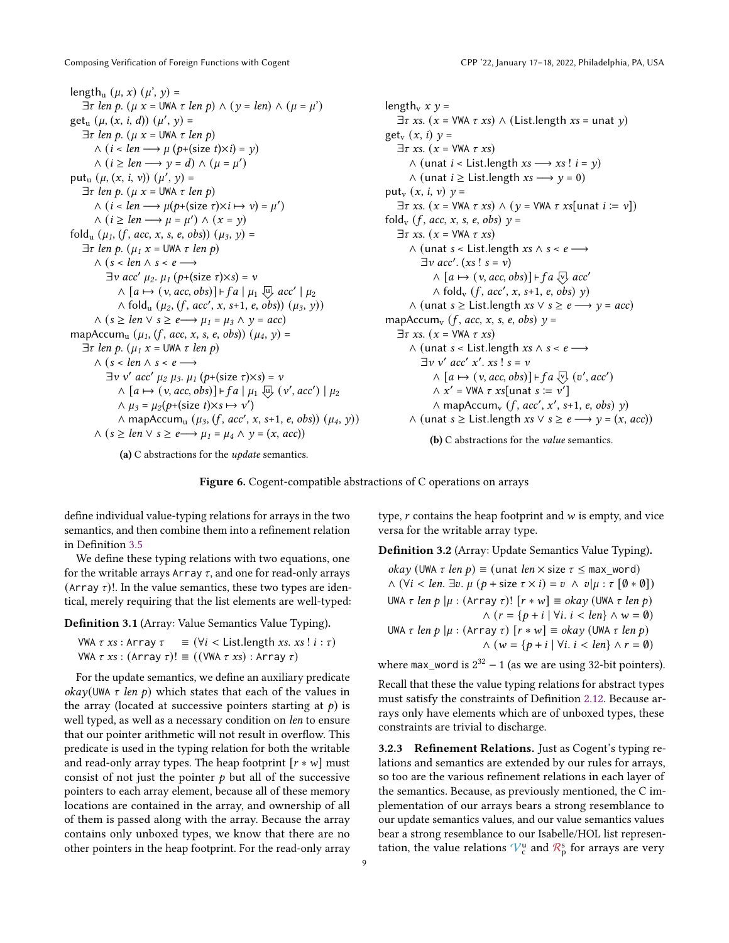Composing Verification of Foreign Functions with Cogent CPP '22, January 17-18, 2022, Philadelphia, PA, USA

<span id="page-8-0"></span>length<sub>u</sub>  $(\mu, x)$   $(\mu', y)$  =  $\exists \tau \ len \ p. (\mu x = \text{UWA } \tau \ len \ p) \land (\gamma = \text{len}) \land (\mu = \mu')$  $get_u (\mu, (x, i, d)) (\mu', y) =$  $\exists \tau$  len p. ( $\mu$  x = UWA  $\tau$  len p)  $\wedge$  (*i* < len  $\longrightarrow$   $\mu$  (*p*+(size *t*)×*i*) = *y*)  $\wedge$  ( $i \geq len \longrightarrow y = d$ )  $\wedge$  ( $\mu = \mu'$ ) put<sub>u</sub>  $(\mu, (x, i, v)) (\mu', y) =$  $\exists \tau$  len p. ( $\mu$  x = UWA  $\tau$  len p)  $\wedge$  (*i* < len  $\longrightarrow$   $\mu(p + (\text{size } \tau) \times i \mapsto v) = \mu'$ )  $\wedge$  ( $i \geq len \longrightarrow \mu = \mu'$ )  $\wedge$  ( $x = y$ ) fold<sub>u</sub>  $(\mu_1, (f, acc, x, s, e, obs)) (\mu_3, y) =$  $\exists \tau \ len \ p. (\mu_1 x = \text{UWA } \tau \ len \ p)$  $\wedge$  (s < len  $\wedge$  s < e  $\longrightarrow$  $\exists v \; acc' \; \mu_2. \; \mu_1 \left( p + (\text{size } \tau) \times s \right) = v$  $\wedge$  [a  $\mapsto$  (v, acc, obs)]  $\vdash$  f a |  $\mu_1$   $\overline{\cup}$  acc' |  $\mu_2$  $\wedge$  fold<sub>u</sub> ( $\mu_2$ , (*f*, *acc'*, *x*, *s*+1, *e*, *obs*)) ( $\mu_3$ , *y*))  $\wedge$  (s ≥ len  $\vee$  s ≥ e→  $\mu_1 = \mu_3 \wedge$  y = acc) mapAccum<sub>u</sub> ( $\mu_1$ , (f, acc, x, s, e, obs)) ( $\mu_4$ , y) =  $\exists \tau$  len p.  $(\mu_1 x = \text{UWA } \tau$  len p)  $\wedge$  (s < len  $\wedge$  s < e  $\longrightarrow$  $\exists v \; v' \; acc' \; \mu_2 \; \mu_3 \; \mu_1 \; (p + (size \; \tau) \times s) = v$  $\wedge$  [a  $\mapsto$  (v, acc, obs)]  $\vdash f$ a |  $\mu_1$   $\overline{\cup}$  (v', acc') |  $\mu_2$  $\wedge \mu_3 = \mu_2(p + (\text{size } t) \times s \mapsto v')$  $∧$  mapAccum<sub>u</sub> (μ<sub>3</sub>, (f, acc', x, s+1, e, obs)) (μ<sub>4</sub>, y))  $\wedge$   $(s \geq len \vee s \geq e \longrightarrow \mu_1 = \mu_4 \wedge y = (x, acc))$ 

length<sub>v</sub>  $x \nu =$  $\exists \tau$  xs. (x = VWA  $\tau$  xs)  $\wedge$  (List.length xs = unat y) get<sub>v</sub>  $(x, i)$   $y =$  $\exists \tau$  xs. (x = VWA  $\tau$  xs)  $\wedge$  (unat *i* < List.length *xs*  $\longrightarrow$  *xs* ! *i* = *y*)  $∧$  (unat *i*  $≥$  List.length *xs* → *y* = 0) put<sub>v</sub>  $(x, i, v)$   $y =$  $\exists \tau$  xs. (x = VWA  $\tau$  xs)  $\wedge$  (y = VWA  $\tau$  xs[unat  $i := v$ ]) fold<sub>v</sub>  $(f, acc, x, s, e, obs)$   $y =$  $\exists \tau$  xs. ( $x =$  VWA  $\tau$  xs)  $\wedge$  (unat s < List.length xs  $\wedge$  s < e  $\longrightarrow$  $\exists v \; acc'. (xs : s = v)$  $\wedge$  [a  $\mapsto$  (v, acc, obs)]  $\nvdash$  f a  $\overline{\vee}$  acc'  $\wedge$  fold<sub>v</sub> (f, acc', x, s+1, e, obs) y)  $\wedge$  (unat s  $\geq$  List.length xs  $\vee$  s  $\geq$  e  $\longrightarrow$  y = acc) mapAccum<sub>v</sub> (f, acc, x, s, e, obs)  $y =$  $\exists \tau$  xs. (x = VWA  $\tau$  xs)  $\wedge$  (unat s < List.length xs  $\wedge$  s < e  $\longrightarrow$  $\exists v \ v' \ acc' x'.$   $xs ! s = v$  $\wedge$  [a  $\mapsto$  (v, acc, obs)]  $\nvdash f$ a  $\overline{\vee}$  (v', acc')  $\wedge x'$  = VWA  $\tau$  xs[unat s :=  $v'$ ]  $\wedge$  mapAccum<sub>v</sub> (f, acc', x', s+1, e, obs) y)  $\wedge$  (unat s ≥ List.length xs  $\vee$  s ≥ e → y = (x, acc))

(b) C abstractions for the *value* semantics.

(a) C abstractions for the update semantics.

Figure 6. Cogent-compatible abstractions of C operations on arrays

define individual value-typing relations for arrays in the two semantics, and then combine them into a refinement relation in Definition [3.5](#page-9-0)

We define these typing relations with two equations, one for the writable arrays Array  $\tau$ , and one for read-only arrays (Array  $\tau$ )!. In the value semantics, these two types are identical, merely requiring that the list elements are well-typed:

Definition 3.1 (Array: Value Semantics Value Typing).

VWA  $\tau$  xs : Array  $\tau = (\forall i <$  List.length xs. xs !  $i : \tau$ ) VWA  $\tau$  xs : (Array  $\tau$ )!  $\equiv$  ((VWA  $\tau$  xs) : Array  $\tau$ )

For the update semantics, we define an auxiliary predicate *okay*(UWA  $\tau$  len  $\varphi$ ) which states that each of the values in the array (located at successive pointers starting at  $p$ ) is well typed, as well as a necessary condition on len to ensure that our pointer arithmetic will not result in overflow. This predicate is used in the typing relation for both the writable and read-only array types. The heap footprint  $[r * w]$  must consist of not just the pointer  $p$  but all of the successive pointers to each array element, because all of these memory locations are contained in the array, and ownership of all of them is passed along with the array. Because the array contains only unboxed types, we know that there are no other pointers in the heap footprint. For the read-only array type,  $r$  contains the heap footprint and  $w$  is empty, and vice versa for the writable array type.

<span id="page-8-1"></span>Definition 3.2 (Array: Update Semantics Value Typing).

*okay* (UWA  $\tau$  len  $p$ )  $\equiv$  (unat len  $\times$  size  $\tau \leq$  max\_word)  $\wedge (\forall i < len. \exists v. \mu (p + size \tau \times i) = v \wedge v | \mu : \tau [0 * 0])$ UWA  $\tau$  len  $p | \mu : (Array \tau)!$   $[r * w] \equiv okay$  (UWA  $\tau$  len  $p$ )  $\wedge$   $(r = \{p + i \mid \forall i. i < len\} \wedge w = \emptyset)$ UWA  $\tau$  len  $p | \mu : (Array \tau) [r * w] \equiv okay (UWA \tau len p)$  $\wedge$   $(w = \{ p + i \mid \forall i. i < len \} \wedge r = \emptyset)$ 

where max\_word is  $2^{32} - 1$  (as we are using 32-bit pointers).

Recall that these the value typing relations for abstract types must satisfy the constraints of Definition [2.12.](#page-5-4) Because arrays only have elements which are of unboxed types, these constraints are trivial to discharge.

3.2.3 Refinement Relations. Just as Cogent's typing relations and semantics are extended by our rules for arrays, so too are the various refinement relations in each layer of the semantics. Because, as previously mentioned, the C implementation of our arrays bears a strong resemblance to our update semantics values, and our value semantics values bear a strong resemblance to our Isabelle/HOL list representation, the value relations  $\mathcal{V}_{\mathsf{c}}^{\mathsf{u}}$  and  $\mathcal{R}_{\mathsf{p}}^{\mathsf{s}}$  for arrays are very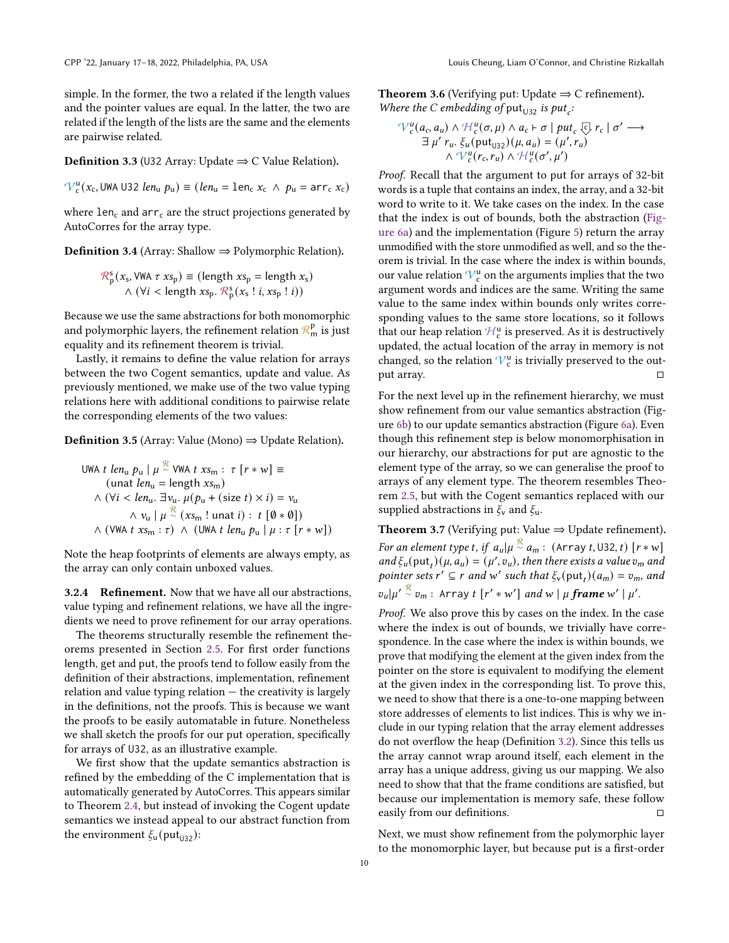simple. In the former, the two a related if the length values and the pointer values are equal. In the latter, the two are related if the length of the lists are the same and the elements are pairwise related.

**Definition 3.3** (U32 Array: Update  $\Rightarrow$  C Value Relation).

 $V_c^u(x_c, UWA U32 len_u p_u) \equiv (len_u = len_c x_c \wedge p_u = arr_c x_c)$ 

where  $len_c$  and  $arr_c$  are the struct projections generated by AutoCorres for the array type.

<span id="page-9-1"></span>**Definition 3.4** (Array: Shallow  $\Rightarrow$  Polymorphic Relation).

$$
\mathcal{R}_p^s(x_s, VWA \tau x s_p) \equiv (\text{length } x s_p = \text{length } x_s) \land (\forall i < \text{length } x s_p. \mathcal{R}_p^s(x_s : i, x s_p : i))
$$

Because we use the same abstractions for both monomorphic and polymorphic layers, the refinement relation  $\mathcal{R}_{\mathsf{m}}^{\mathsf{p}}$  is just equality and its refinement theorem is trivial.

Lastly, it remains to define the value relation for arrays between the two Cogent semantics, update and value. As previously mentioned, we make use of the two value typing relations here with additional conditions to pairwise relate the corresponding elements of the two values:

<span id="page-9-0"></span>**Definition 3.5** (Array: Value (Mono)  $\Rightarrow$  Update Relation).

\n
$$
\begin{aligned}\n &\text{UWA } t \ len_{\mathbf{u}} p_{\mathbf{u}} \mid \mu \stackrel{\mathcal{R}}{\sim} \text{VWA } t \ x s_{\mathbf{m}} : \tau \ [r * \mathbf{w}] \equiv \\
 &\text{(unat } len_{\mathbf{u}} = \text{length } x s_{\mathbf{m}}) \\
 &\quad \wedge (\forall i < len_{\mathbf{u}} \cdot \exists v_{\mathbf{u}} \cdot \mu(p_{\mathbf{u}} + (\text{size } t) \times i) = v_{\mathbf{u}} \\
 &\quad \wedge v_{\mathbf{u}} \mid \mu \stackrel{\mathcal{R}}{\sim} (x s_{\mathbf{m}} : \text{unat } i) : \ t \ [\emptyset * \emptyset]) \\
 &\quad \wedge (\text{VWA } t \ x s_{\mathbf{m}} : \tau) \ \wedge \ (\text{UWA } t \ len_{\mathbf{u}} p_{\mathbf{u}} \mid \mu : \tau \ [r * \mathbf{w}])\n \end{aligned}
$$
\n

Note the heap footprints of elements are always empty, as the array can only contain unboxed values.

3.2.4 Refinement. Now that we have all our abstractions, value typing and refinement relations, we have all the ingredients we need to prove refinement for our array operations.

The theorems structurally resemble the refinement theorems presented in Section [2.5.](#page-4-0) For first order functions length, get and put, the proofs tend to follow easily from the definition of their abstractions, implementation, refinement relation and value typing relation — the creativity is largely in the definitions, not the proofs. This is because we want the proofs to be easily automatable in future. Nonetheless we shall sketch the proofs for our put operation, specifically for arrays of U32, as an illustrative example.

<span id="page-9-2"></span>We first show that the update semantics abstraction is refined by the embedding of the C implementation that is automatically generated by AutoCorres. This appears similar to Theorem [2.4,](#page-4-2) but instead of invoking the Cogent update semantics we instead appeal to our abstract function from the environment  $\xi_u$  (put<sub> $\mu$ 32</sub>):

**Theorem 3.6** (Verifying put: Update  $\Rightarrow$  C refinement). Where the C embedding of put<sub>U32</sub> is put<sub>c</sub>:

$$
\mathcal{V}_c^u(a_c, a_u) \wedge \mathcal{H}_c^u(\sigma, \mu) \wedge a_c \vdash \sigma \mid put_c \subseteq r_c \mid \sigma' \longrightarrow
$$
  
\n
$$
\exists \mu' r_u. \xi_u(put_{U32})(\mu, a_u) = (\mu', r_u)
$$
  
\n
$$
\wedge \mathcal{V}_c^u(r_c, r_u) \wedge \mathcal{H}_c^u(\sigma', \mu')
$$

Proof. Recall that the argument to put for arrays of 32-bit words is a tuple that contains an index, the array, and a 32-bit word to write to it. We take cases on the index. In the case that the index is out of bounds, both the abstraction [\(Fig](#page-8-0)[ure 6a\)](#page-8-0) and the implementation (Figure [5\)](#page-7-0) return the array unmodified with the store unmodified as well, and so the theorem is trivial. In the case where the index is within bounds, our value relation  $\mathcal{V}_{\rm c}^{\rm u}$  on the arguments implies that the two argument words and indices are the same. Writing the same value to the same index within bounds only writes corresponding values to the same store locations, so it follows that our heap relation  $\mathcal{H}_{\mathsf{c}}^{\mathsf{u}}$  is preserved. As it is destructively updated, the actual location of the array in memory is not changed, so the relation  $\mathcal{V}_{\mathsf{c}}^{\mathsf{u}}$  is trivially preserved to the output array.

For the next level up in the refinement hierarchy, we must show refinement from our value semantics abstraction (Figure [6b\)](#page-8-0) to our update semantics abstraction (Figure [6a\)](#page-8-0). Even though this refinement step is below monomorphisation in our hierarchy, our abstractions for put are agnostic to the element type of the array, so we can generalise the proof to arrays of any element type. The theorem resembles Theorem [2.5,](#page-4-1) but with the Cogent semantics replaced with our supplied abstractions in  $\xi_v$  and  $\xi_u$ .

<span id="page-9-3"></span>Theorem 3.7 (Verifying put: Value  $\Rightarrow$  Update refinement). For an element type t, if  $\left.a_u\right|\mu\stackrel{\mathcal{R}}{\sim} a_m$  :  $\,$  (Array t, U32, t)  $\,$  [ $r\ast w$ ] and  $\xi_u(\text{put}_t)(\mu, a_u) = (\mu', v_u)$ , then there exists a value  $v_m$  and pointer sets  $r' \subseteq r$  and w' such that  $\xi_v(\text{put}_t)(a_m) = v_m$ , and  $v_{u}|\mu'\stackrel{\mathcal{R}}{\sim} v_{m}$  : Array  $t$   $[r'*w']$  and  $w \mid \mu$  frame  $w' \mid \mu'.$ 

Proof. We also prove this by cases on the index. In the case where the index is out of bounds, we trivially have correspondence. In the case where the index is within bounds, we prove that modifying the element at the given index from the pointer on the store is equivalent to modifying the element at the given index in the corresponding list. To prove this, we need to show that there is a one-to-one mapping between store addresses of elements to list indices. This is why we include in our typing relation that the array element addresses do not overflow the heap (Definition [3.2\)](#page-8-1). Since this tells us the array cannot wrap around itself, each element in the array has a unique address, giving us our mapping. We also need to show that that the frame conditions are satisfied, but because our implementation is memory safe, these follow easily from our definitions. □

Next, we must show refinement from the polymorphic layer to the monomorphic layer, but because put is a first-order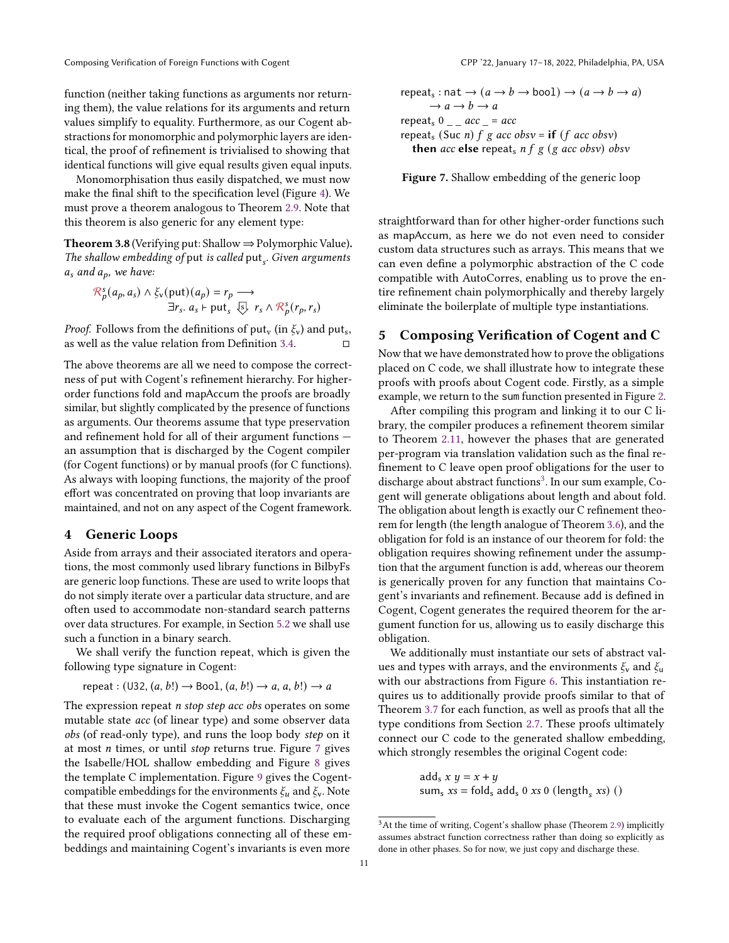function (neither taking functions as arguments nor returning them), the value relations for its arguments and return values simplify to equality. Furthermore, as our Cogent abstractions for monomorphic and polymorphic layers are identical, the proof of refinement is trivialised to showing that identical functions will give equal results given equal inputs.

Monomorphisation thus easily dispatched, we must now make the final shift to the specification level (Figure [4\)](#page-6-1). We must prove a theorem analogous to Theorem [2.9.](#page-5-1) Note that this theorem is also generic for any element type:

**Theorem 3.8** (Verifying put: Shallow  $\Rightarrow$  Polymorphic Value). The shallow embedding of put is called  $\mathsf{put}_{s}.$  Given arguments  $a_s$  and  $a_p$ , we have:

$$
\mathcal{R}_p^s(a_p, a_s) \wedge \xi_v(\text{put})(a_p) = r_p \longrightarrow
$$
  

$$
\exists r_s. a_s \vdash \text{put}_s \xi_v \qquad r_s \wedge \mathcal{R}_p^s(r_p, r_s)
$$

*Proof.* Follows from the definitions of put<sub>v</sub> (in  $\xi$ <sub>v</sub>) and put<sub>s</sub>, as well as the value relation from Definition [3.4.](#page-9-1)  $□$ 

The above theorems are all we need to compose the correctness of put with Cogent's refinement hierarchy. For higherorder functions fold and mapAccum the proofs are broadly similar, but slightly complicated by the presence of functions as arguments. Our theorems assume that type preservation and refinement hold for all of their argument functions an assumption that is discharged by the Cogent compiler (for Cogent functions) or by manual proofs (for C functions). As always with looping functions, the majority of the proof effort was concentrated on proving that loop invariants are maintained, and not on any aspect of the Cogent framework.

#### <span id="page-10-1"></span>4 Generic Loops

Aside from arrays and their associated iterators and operations, the most commonly used library functions in BilbyFs are generic loop functions. These are used to write loops that do not simply iterate over a particular data structure, and are often used to accommodate non-standard search patterns over data structures. For example, in Section [5.2](#page-11-0) we shall use such a function in a binary search.

We shall verify the function repeat, which is given the following type signature in Cogent:

repeat: 
$$
(U32, (a, b!) \rightarrow \text{Bool}, (a, b!) \rightarrow a, a, b!) \rightarrow a
$$

The expression repeat *n* stop step acc obs operates on some mutable state acc (of linear type) and some observer data obs (of read-only type), and runs the loop body step on it at most  $n$  times, or until stop returns true. Figure [7](#page-10-2) gives the Isabelle/HOL shallow embedding and Figure [8](#page-11-1) gives the template C implementation. Figure [9](#page-12-1) gives the Cogentcompatible embeddings for the environments  $\xi_u$  and  $\xi_v$ . Note that these must invoke the Cogent semantics twice, once to evaluate each of the argument functions. Discharging the required proof obligations connecting all of these embeddings and maintaining Cogent's invariants is even more

<span id="page-10-2"></span> $repeak_s: nat \rightarrow (a \rightarrow b \rightarrow bool) \rightarrow (a \rightarrow b \rightarrow a)$  $\rightarrow a \rightarrow b \rightarrow a$ repeat<sub>s</sub>  $0 \_ -$  *acc*  $\_ =$  *acc* repeat<sub>s</sub> (Suc *n*)  $f$   $g$  acc obsv = if ( $f$  acc obsv) then acc else repeat,  $nf g (g acc obsv) obsv$ 

Figure 7. Shallow embedding of the generic loop

straightforward than for other higher-order functions such as mapAccum, as here we do not even need to consider custom data structures such as arrays. This means that we can even define a polymorphic abstraction of the C code compatible with AutoCorres, enabling us to prove the entire refinement chain polymorphically and thereby largely eliminate the boilerplate of multiple type instantiations.

# <span id="page-10-0"></span>5 Composing Verification of Cogent and C

Now that we have demonstrated how to prove the obligations placed on C code, we shall illustrate how to integrate these proofs with proofs about Cogent code. Firstly, as a simple example, we return to the sum function presented in Figure [2.](#page-2-1)

After compiling this program and linking it to our C library, the compiler produces a refinement theorem similar to Theorem [2.11,](#page-5-3) however the phases that are generated per-program via translation validation such as the final refinement to C leave open proof obligations for the user to discharge about abstract functions<sup>[3](#page-10-3)</sup>. In our sum example, Cogent will generate obligations about length and about fold. The obligation about length is exactly our C refinement theorem for length (the length analogue of Theorem [3.6\)](#page-9-2), and the obligation for fold is an instance of our theorem for fold: the obligation requires showing refinement under the assumption that the argument function is add, whereas our theorem is generically proven for any function that maintains Cogent's invariants and refinement. Because add is defined in Cogent, Cogent generates the required theorem for the argument function for us, allowing us to easily discharge this obligation.

We additionally must instantiate our sets of abstract values and types with arrays, and the environments  $\xi_v$  and  $\xi_u$ with our abstractions from Figure [6.](#page-8-0) This instantiation requires us to additionally provide proofs similar to that of Theorem [3.7](#page-9-3) for each function, as well as proofs that all the type conditions from Section [2.7.](#page-5-0) These proofs ultimately connect our C code to the generated shallow embedding, which strongly resembles the original Cogent code:

> $\text{add}_s x y = x + y$ sum<sub>s</sub>  $xs = \text{fold}_s \text{ add}_s 0 \text{ xs } 0 \text{ (length}_s \text{ xs)} ()$

<span id="page-10-3"></span> ${}^{3}\mathrm{At}$  the time of writing, Cogent's shallow phase (Theorem [2.9\)](#page-5-1) implicitly assumes abstract function correctness rather than doing so explicitly as done in other phases. So for now, we just copy and discharge these.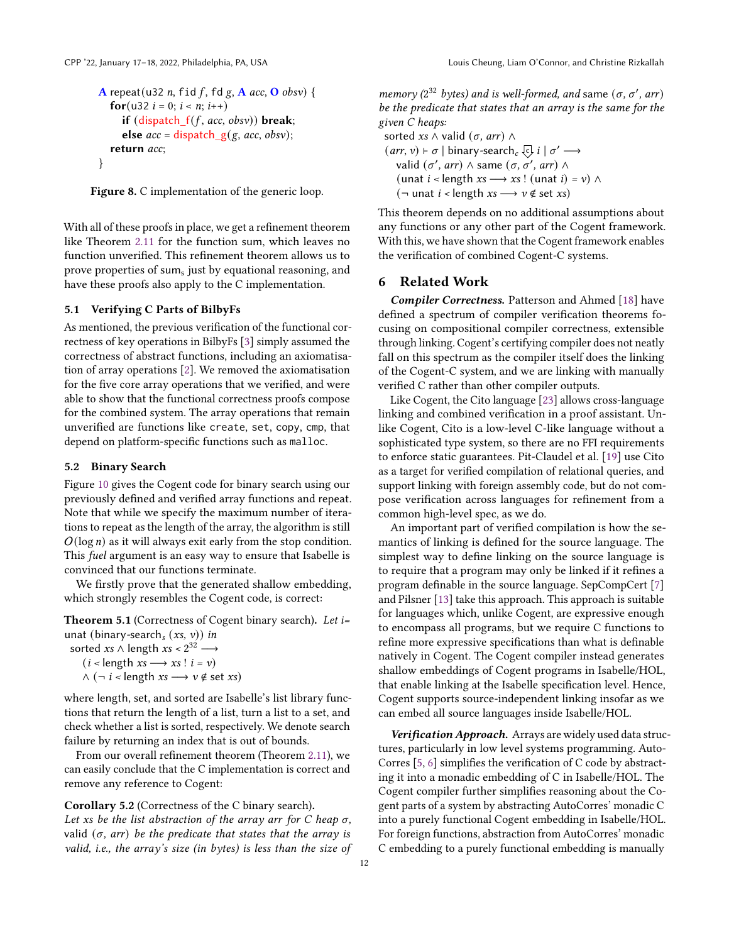```
A repeat(u32 n, fid f, fd g, A acc, O obsv) {
  for(u32 i = 0; i < n; i^{++})
     if (dispatch_f(f, acc, obsv)) break;
     else acc = dispatch_g(g, acc, obsv);
  return acc;
}
```
Figure 8. C implementation of the generic loop.

With all of these proofs in place, we get a refinement theorem like Theorem [2.11](#page-5-3) for the function sum, which leaves no function unverified. This refinement theorem allows us to prove properties of sum $_{\rm s}$  just by equational reasoning, and have these proofs also apply to the C implementation.

#### 5.1 Verifying C Parts of BilbyFs

As mentioned, the previous verification of the functional correctness of key operations in BilbyFs [\[3\]](#page-13-3) simply assumed the correctness of abstract functions, including an axiomatisation of array operations [\[2\]](#page-13-13). We removed the axiomatisation for the five core array operations that we verified, and were able to show that the functional correctness proofs compose for the combined system. The array operations that remain unverified are functions like create, set, copy, cmp, that depend on platform-specific functions such as malloc.

### <span id="page-11-0"></span>5.2 Binary Search

Figure [10](#page-12-2) gives the Cogent code for binary search using our previously defined and verified array functions and repeat. Note that while we specify the maximum number of iterations to repeat as the length of the array, the algorithm is still  $O(\log n)$  as it will always exit early from the stop condition. This fuel argument is an easy way to ensure that Isabelle is convinced that our functions terminate.

We firstly prove that the generated shallow embedding, which strongly resembles the Cogent code, is correct:

**Theorem 5.1** (Correctness of Cogent binary search). Let  $i=$ unat (binary-search,  $(xs, v)$ ) in

sorted *xs*  $\land$  length *xs* < 2<sup>32</sup>  $\longrightarrow$  $(i$  < length  $xs \rightarrow xs$  !  $i = v$ )  $\wedge$  ( $\neg$  *i* < length  $xs \rightarrow v \notin$  set  $xs$ )

where length, set, and sorted are Isabelle's list library functions that return the length of a list, turn a list to a set, and check whether a list is sorted, respectively. We denote search failure by returning an index that is out of bounds.

From our overall refinement theorem (Theorem [2.11\)](#page-5-3), we can easily conclude that the C implementation is correct and remove any reference to Cogent:

### Corollary 5.2 (Correctness of the C binary search).

Let xs be the list abstraction of the array arr for C heap  $\sigma$ , valid  $(\sigma, arr)$  be the predicate that states that the array is valid, i.e., the array's size (in bytes) is less than the size of

memory ( $2^{32}$  bytes) and is well-formed, and same ( $\sigma$ ,  $\sigma'$ , arr) be the predicate that states that an array is the same for the given C heaps:

sorted xs  $\land$  valid ( $\sigma$ , arr)  $\land$ 

 $(arr, v) \vdash σ$  | binary-search<sub>c</sub>  $\overline{\mathbb{C}}$  *i* |  $\sigma'$  → valid  $(\sigma', arr) \wedge \text{same} (\sigma, \sigma', arr) \wedge$ (unat *i* < length  $xs \rightarrow xs$  ! (unat *i*) = *v*)  $\land$  $(¬$  unat *i* < length *xs*  $→$  *v* ∉ set *xs*)

This theorem depends on no additional assumptions about any functions or any other part of the Cogent framework. With this, we have shown that the Cogent framework enables the verification of combined Cogent-C systems.

# 6 Related Work

Compiler Correctness. Patterson and Ahmed [\[18\]](#page-13-14) have defined a spectrum of compiler verification theorems focusing on compositional compiler correctness, extensible through linking. Cogent's certifying compiler does not neatly fall on this spectrum as the compiler itself does the linking of the Cogent-C system, and we are linking with manually verified C rather than other compiler outputs.

Like Cogent, the Cito language [\[23\]](#page-13-15) allows cross-language linking and combined verification in a proof assistant. Unlike Cogent, Cito is a low-level C-like language without a sophisticated type system, so there are no FFI requirements to enforce static guarantees. Pit-Claudel et al. [\[19\]](#page-13-16) use Cito as a target for verified compilation of relational queries, and support linking with foreign assembly code, but do not compose verification across languages for refinement from a common high-level spec, as we do.

An important part of verified compilation is how the semantics of linking is defined for the source language. The simplest way to define linking on the source language is to require that a program may only be linked if it refines a program definable in the source language. SepCompCert [\[7\]](#page-13-17) and Pilsner [\[13\]](#page-13-18) take this approach. This approach is suitable for languages which, unlike Cogent, are expressive enough to encompass all programs, but we require C functions to refine more expressive specifications than what is definable natively in Cogent. The Cogent compiler instead generates shallow embeddings of Cogent programs in Isabelle/HOL, that enable linking at the Isabelle specification level. Hence, Cogent supports source-independent linking insofar as we can embed all source languages inside Isabelle/HOL.

Verification Approach. Arrays are widely used data structures, particularly in low level systems programming. Auto-Corres [\[5,](#page-13-11) [6\]](#page-13-12) simplifies the verification of C code by abstracting it into a monadic embedding of C in Isabelle/HOL. The Cogent compiler further simplifies reasoning about the Cogent parts of a system by abstracting AutoCorres' monadic C into a purely functional Cogent embedding in Isabelle/HOL. For foreign functions, abstraction from AutoCorres' monadic C embedding to a purely functional embedding is manually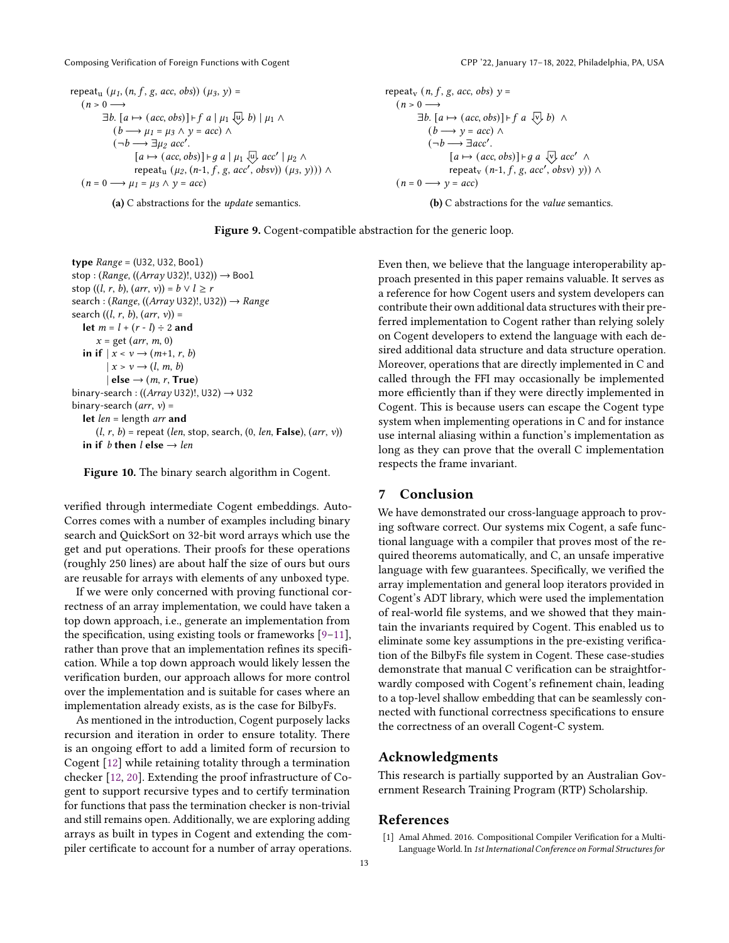```
repeat<sub>u</sub> (\mu_1, (n, f, g, acc, obs)) (\mu_3, y) =(n > 0 \longrightarrow∃b. [a \mapsto (acc, obs)] \vdash f a | \mu_1 \overline{\downarrow \updownarrow} b) | \mu_1 \wedge(b \rightarrow \mu_1 = \mu_3 \land y = acc) \land(\neg b \longrightarrow \exists \mu_2 \ acc'.[a \mapsto (acc, obs)] \vdash g a \mid \mu_1 \downarrow \mu_2 \text{ acc'} \mid \mu_2 \landrepeat<sub>u</sub> (\mu_2, (n-1, f, g, acc', obsv)) (\mu_3, y))) ^
    (n = 0 \longrightarrow \mu_1 = \mu_3 \land y = acc)(n > 0 \longrightarrow
```
(a) C abstractions for the update semantics.

```
repeat<sub>v</sub> (n, f, g, acc, obs) y =
           \exists b. [a \mapsto (acc, obs)] \vdash fa \overline{\vee} b \wedge(b \rightarrow y = acc) \wedge(¬b → \exists acc'.[a \mapsto (acc, obs)] \vdash q a \sqrt{v} acc' \wedgerepeat<sub>v</sub> (n-1, f, g, acc', obsv) y)) ∧
   (n = 0 \longrightarrow y = acc)
```
(b) C abstractions for the *value* semantics.

Figure 9. Cogent-compatible abstraction for the generic loop.

```
type Range = (U32, U32, Boo1)stop : (Range, ((Array U32)!, U32)) \rightarrow Bool
stop ((l, r, b), (arr, v)) = b \vee l \geq rsearch : (Range, ((Array U32)!, U32)) \rightarrow Range
search ((l, r, b), (arr, v)) =let m = l + (r - l) \div 2 and
      x = get (arr, m, 0)in if |x \leq v \rightarrow (m+1, r, b)|x > v \rightarrow (l, m, b)| else \rightarrow (m, r, True)
binary-search : ((Array U32)!, U32) \rightarrow U32
binary-search (arr, v) =
   let len = length arr and
      (l, r, b) = repeat (len, stop, search, (0, len, False), (arr, v))
   in if b then l else \rightarrow len
```
Figure 10. The binary search algorithm in Cogent.

verified through intermediate Cogent embeddings. Auto-Corres comes with a number of examples including binary search and QuickSort on 32-bit word arrays which use the get and put operations. Their proofs for these operations (roughly 250 lines) are about half the size of ours but ours are reusable for arrays with elements of any unboxed type.

If we were only concerned with proving functional correctness of an array implementation, we could have taken a top down approach, i.e., generate an implementation from the specification, using existing tools or frameworks  $[9-11]$  $[9-11]$ , rather than prove that an implementation refines its specification. While a top down approach would likely lessen the verification burden, our approach allows for more control over the implementation and is suitable for cases where an implementation already exists, as is the case for BilbyFs.

As mentioned in the introduction, Cogent purposely lacks recursion and iteration in order to ensure totality. There is an ongoing effort to add a limited form of recursion to Cogent [\[12\]](#page-13-21) while retaining totality through a termination checker [\[12,](#page-13-21) [20\]](#page-13-22). Extending the proof infrastructure of Cogent to support recursive types and to certify termination for functions that pass the termination checker is non-trivial and still remains open. Additionally, we are exploring adding arrays as built in types in Cogent and extending the compiler certificate to account for a number of array operations. Even then, we believe that the language interoperability approach presented in this paper remains valuable. It serves as a reference for how Cogent users and system developers can contribute their own additional data structures with their preferred implementation to Cogent rather than relying solely on Cogent developers to extend the language with each desired additional data structure and data structure operation. Moreover, operations that are directly implemented in C and called through the FFI may occasionally be implemented more efficiently than if they were directly implemented in Cogent. This is because users can escape the Cogent type system when implementing operations in C and for instance use internal aliasing within a function's implementation as long as they can prove that the overall C implementation respects the frame invariant.

# 7 Conclusion

We have demonstrated our cross-language approach to proving software correct. Our systems mix Cogent, a safe functional language with a compiler that proves most of the required theorems automatically, and C, an unsafe imperative language with few guarantees. Specifically, we verified the array implementation and general loop iterators provided in Cogent's ADT library, which were used the implementation of real-world file systems, and we showed that they maintain the invariants required by Cogent. This enabled us to eliminate some key assumptions in the pre-existing verification of the BilbyFs file system in Cogent. These case-studies demonstrate that manual C verification can be straightforwardly composed with Cogent's refinement chain, leading to a top-level shallow embedding that can be seamlessly connected with functional correctness specifications to ensure the correctness of an overall Cogent-C system.

## Acknowledgments

This research is partially supported by an Australian Government Research Training Program (RTP) Scholarship.

## References

<span id="page-12-0"></span>[1] Amal Ahmed. 2016. Compositional Compiler Verification for a Multi-Language World. In 1st International Conference on Formal Structures for